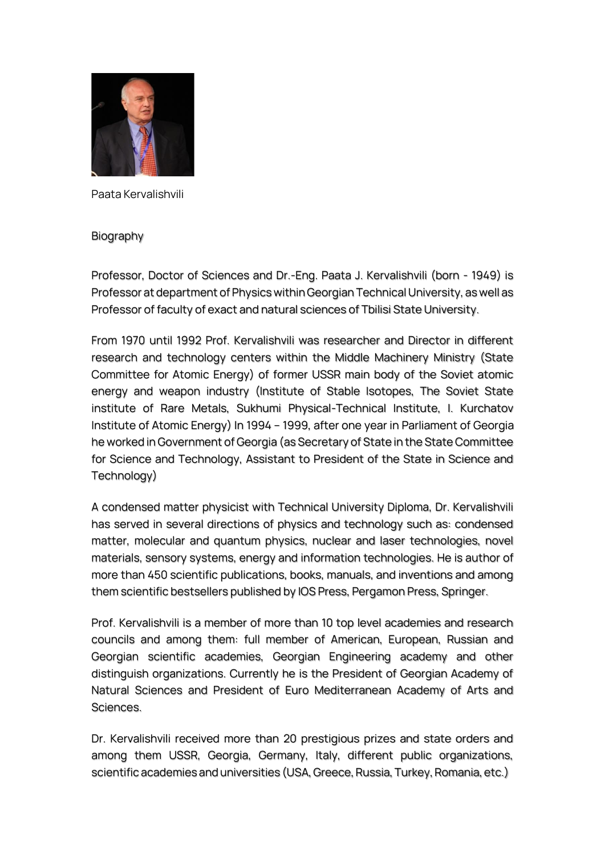

**Paata Kervalishvili**

**Biography**

**Professor, Doctor of Sciences and Dr.-Eng. Paata J. Kervalishvili (born - 1949) is Professor at department of Physics within Georgian Technical University, as well as Professor of faculty of exact and natural sciences of Tbilisi State University.**

**From 1970 until 1992 Prof. Kervalishvili was researcher and Director in different research and technology centers within the Middle Machinery Ministry (State Committee for Atomic Energy) of former USSR main body of the Soviet atomic energy and weapon industry (Institute of Stable Isotopes, The Soviet State institute of Rare Metals, Sukhumi Physical-Technical Institute, I. Kurchatov Institute of Atomic Energy) In 1994 – 1999, after one year in Parliament of Georgia he worked in Government of Georgia (as Secretary of State in the State Committee for Science and Technology, Assistant to President of the State in Science and Technology)**

**A condensed matter physicist with Technical University Diploma, Dr. Kervalishvili has served in several directions of physics and technology such as: condensed matter, molecular and quantum physics, nuclear and laser technologies, novel materials, sensory systems, energy and information technologies. He is author of more than 450 scientific publications, books, manuals, and inventions and among them scientific bestsellers published by IOS Press, Pergamon Press, Springer.**

**Prof. Kervalishvili is a member of more than 10 top level academies and research councils and among them: full member of American, European, Russian and Georgian scientific academies, Georgian Engineering academy and other distinguish organizations. Currently he is the President of Georgian Academy of Natural Sciences and President of Euro Mediterranean Academy of Arts and Sciences.**

**Dr. Kervalishvili received more than 20 prestigious prizes and state orders and among them USSR, Georgia, Germany, Italy, different public organizations, scientific academies and universities (USA, Greece, Russia, Turkey, Romania, etc.)**